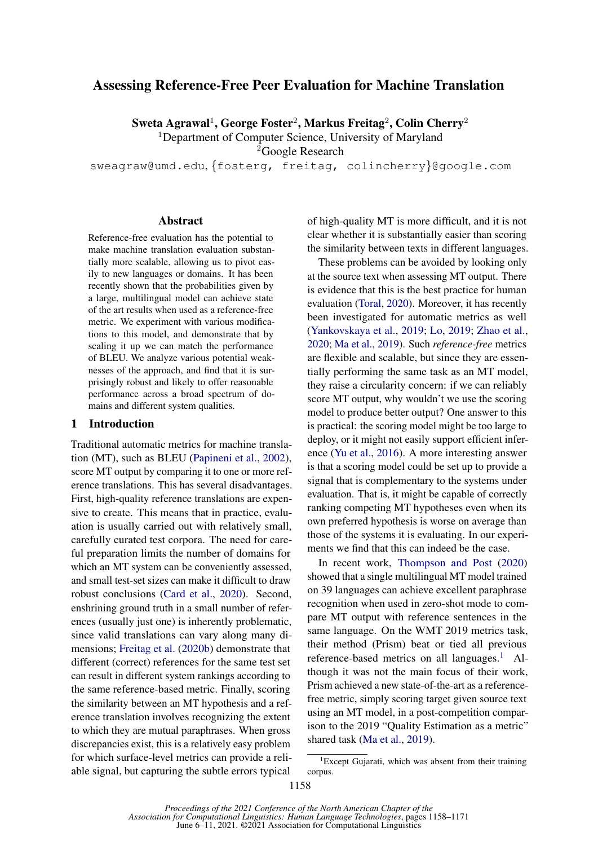## Assessing Reference-Free Peer Evaluation for Machine Translation

Sweta Agrawal $^1$ , George Foster $^2$ , Markus Freitag $^2$ , Colin Cherry $^2$ 

<sup>1</sup>Department of Computer Science, University of Maryland

<sup>2</sup>Google Research

sweagraw@umd.edu, {fosterg, freitag, colincherry}@google.com

#### Abstract

Reference-free evaluation has the potential to make machine translation evaluation substantially more scalable, allowing us to pivot easily to new languages or domains. It has been recently shown that the probabilities given by a large, multilingual model can achieve state of the art results when used as a reference-free metric. We experiment with various modifications to this model, and demonstrate that by scaling it up we can match the performance of BLEU. We analyze various potential weaknesses of the approach, and find that it is surprisingly robust and likely to offer reasonable performance across a broad spectrum of domains and different system qualities.

#### 1 Introduction

Traditional automatic metrics for machine translation (MT), such as BLEU [\(Papineni et al.,](#page-10-0) [2002\)](#page-10-0), score MT output by comparing it to one or more reference translations. This has several disadvantages. First, high-quality reference translations are expensive to create. This means that in practice, evaluation is usually carried out with relatively small, carefully curated test corpora. The need for careful preparation limits the number of domains for which an MT system can be conveniently assessed. and small test-set sizes can make it difficult to draw robust conclusions [\(Card et al.,](#page-9-0) [2020\)](#page-9-0). Second, enshrining ground truth in a small number of references (usually just one) is inherently problematic, since valid translations can vary along many dimensions; [Freitag et al.](#page-9-1) [\(2020b\)](#page-9-1) demonstrate that different (correct) references for the same test set can result in different system rankings according to the same reference-based metric. Finally, scoring the similarity between an MT hypothesis and a reference translation involves recognizing the extent to which they are mutual paraphrases. When gross discrepancies exist, this is a relatively easy problem for which surface-level metrics can provide a reliable signal, but capturing the subtle errors typical

of high-quality MT is more difficult, and it is not clear whether it is substantially easier than scoring the similarity between texts in different languages.

These problems can be avoided by looking only at the source text when assessing MT output. There is evidence that this is the best practice for human evaluation [\(Toral,](#page-10-1) [2020\)](#page-10-1). Moreover, it has recently been investigated for automatic metrics as well [\(Yankovskaya et al.,](#page-10-2) [2019;](#page-10-2) [Lo,](#page-9-2) [2019;](#page-9-2) [Zhao et al.,](#page-10-3) [2020;](#page-10-3) [Ma et al.,](#page-9-3) [2019\)](#page-9-3). Such *reference-free* metrics are flexible and scalable, but since they are essentially performing the same task as an MT model, they raise a circularity concern: if we can reliably score MT output, why wouldn't we use the scoring model to produce better output? One answer to this is practical: the scoring model might be too large to deploy, or it might not easily support efficient inference [\(Yu et al.,](#page-10-4) [2016\)](#page-10-4). A more interesting answer is that a scoring model could be set up to provide a signal that is complementary to the systems under evaluation. That is, it might be capable of correctly ranking competing MT hypotheses even when its own preferred hypothesis is worse on average than those of the systems it is evaluating. In our experiments we find that this can indeed be the case.

In recent work, [Thompson and Post](#page-10-5) [\(2020\)](#page-10-5) showed that a single multilingual MT model trained on 39 languages can achieve excellent paraphrase recognition when used in zero-shot mode to compare MT output with reference sentences in the same language. On the WMT 2019 metrics task, their method (Prism) beat or tied all previous reference-based metrics on all languages. $<sup>1</sup>$  $<sup>1</sup>$  $<sup>1</sup>$  Al-</sup> though it was not the main focus of their work, Prism achieved a new state-of-the-art as a referencefree metric, simply scoring target given source text using an MT model, in a post-competition comparison to the 2019 "Quality Estimation as a metric" shared task [\(Ma et al.,](#page-9-3) [2019\)](#page-9-3).

<span id="page-0-0"></span><sup>&</sup>lt;sup>1</sup>Except Gujarati, which was absent from their training corpus.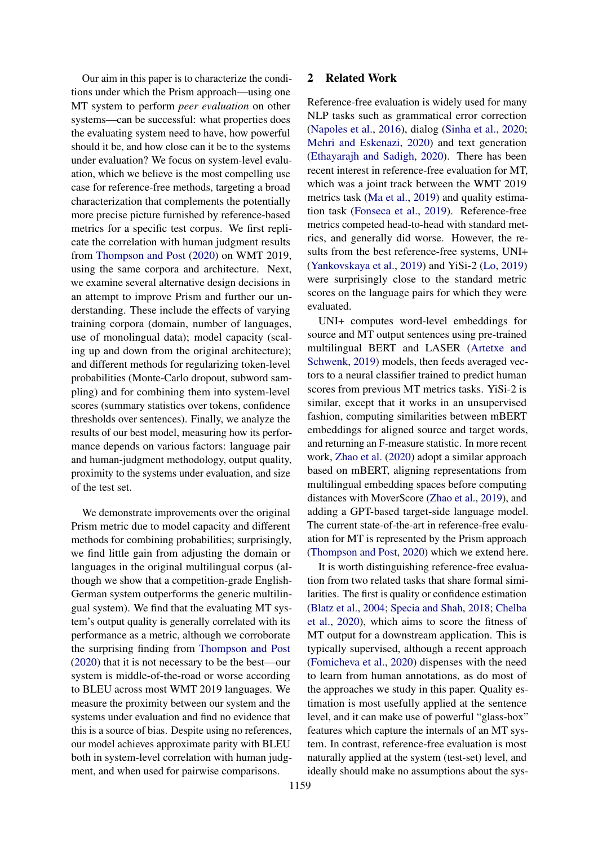Our aim in this paper is to characterize the conditions under which the Prism approach—using one MT system to perform *peer evaluation* on other systems—can be successful: what properties does the evaluating system need to have, how powerful should it be, and how close can it be to the systems under evaluation? We focus on system-level evaluation, which we believe is the most compelling use case for reference-free methods, targeting a broad characterization that complements the potentially more precise picture furnished by reference-based metrics for a specific test corpus. We first replicate the correlation with human judgment results from [Thompson and Post](#page-10-5) [\(2020\)](#page-10-5) on WMT 2019, using the same corpora and architecture. Next, we examine several alternative design decisions in an attempt to improve Prism and further our understanding. These include the effects of varying training corpora (domain, number of languages, use of monolingual data); model capacity (scaling up and down from the original architecture); and different methods for regularizing token-level probabilities (Monte-Carlo dropout, subword sampling) and for combining them into system-level scores (summary statistics over tokens, confidence thresholds over sentences). Finally, we analyze the results of our best model, measuring how its performance depends on various factors: language pair and human-judgment methodology, output quality, proximity to the systems under evaluation, and size of the test set.

We demonstrate improvements over the original Prism metric due to model capacity and different methods for combining probabilities; surprisingly, we find little gain from adjusting the domain or languages in the original multilingual corpus (although we show that a competition-grade English-German system outperforms the generic multilingual system). We find that the evaluating MT system's output quality is generally correlated with its performance as a metric, although we corroborate the surprising finding from [Thompson and Post](#page-10-5) [\(2020\)](#page-10-5) that it is not necessary to be the best—our system is middle-of-the-road or worse according to BLEU across most WMT 2019 languages. We measure the proximity between our system and the systems under evaluation and find no evidence that this is a source of bias. Despite using no references, our model achieves approximate parity with BLEU both in system-level correlation with human judgment, and when used for pairwise comparisons.

#### 2 Related Work

Reference-free evaluation is widely used for many NLP tasks such as grammatical error correction [\(Napoles et al.,](#page-10-6) [2016\)](#page-10-6), dialog [\(Sinha et al.,](#page-10-7) [2020;](#page-10-7) [Mehri and Eskenazi,](#page-9-4) [2020\)](#page-9-4) and text generation [\(Ethayarajh and Sadigh,](#page-9-5) [2020\)](#page-9-5). There has been recent interest in reference-free evaluation for MT, which was a joint track between the WMT 2019 metrics task [\(Ma et al.,](#page-9-3) [2019\)](#page-9-3) and quality estimation task [\(Fonseca et al.,](#page-9-6) [2019\)](#page-9-6). Reference-free metrics competed head-to-head with standard metrics, and generally did worse. However, the results from the best reference-free systems, UNI+ [\(Yankovskaya et al.,](#page-10-2) [2019\)](#page-10-2) and YiSi-2 [\(Lo,](#page-9-2) [2019\)](#page-9-2) were surprisingly close to the standard metric scores on the language pairs for which they were evaluated.

UNI+ computes word-level embeddings for source and MT output sentences using pre-trained multilingual BERT and LASER [\(Artetxe and](#page-9-7) [Schwenk,](#page-9-7) [2019\)](#page-9-7) models, then feeds averaged vectors to a neural classifier trained to predict human scores from previous MT metrics tasks. YiSi-2 is similar, except that it works in an unsupervised fashion, computing similarities between mBERT embeddings for aligned source and target words, and returning an F-measure statistic. In more recent work, [Zhao et al.](#page-10-3) [\(2020\)](#page-10-3) adopt a similar approach based on mBERT, aligning representations from multilingual embedding spaces before computing distances with MoverScore [\(Zhao et al.,](#page-10-8) [2019\)](#page-10-8), and adding a GPT-based target-side language model. The current state-of-the-art in reference-free evaluation for MT is represented by the Prism approach [\(Thompson and Post,](#page-10-5) [2020\)](#page-10-5) which we extend here.

It is worth distinguishing reference-free evaluation from two related tasks that share formal similarities. The first is quality or confidence estimation [\(Blatz et al.,](#page-9-8) [2004;](#page-9-8) [Specia and Shah,](#page-10-9) [2018;](#page-10-9) [Chelba](#page-9-9) [et al.,](#page-9-9) [2020\)](#page-9-9), which aims to score the fitness of MT output for a downstream application. This is typically supervised, although a recent approach [\(Fomicheva et al.,](#page-9-10) [2020\)](#page-9-10) dispenses with the need to learn from human annotations, as do most of the approaches we study in this paper. Quality estimation is most usefully applied at the sentence level, and it can make use of powerful "glass-box" features which capture the internals of an MT system. In contrast, reference-free evaluation is most naturally applied at the system (test-set) level, and ideally should make no assumptions about the sys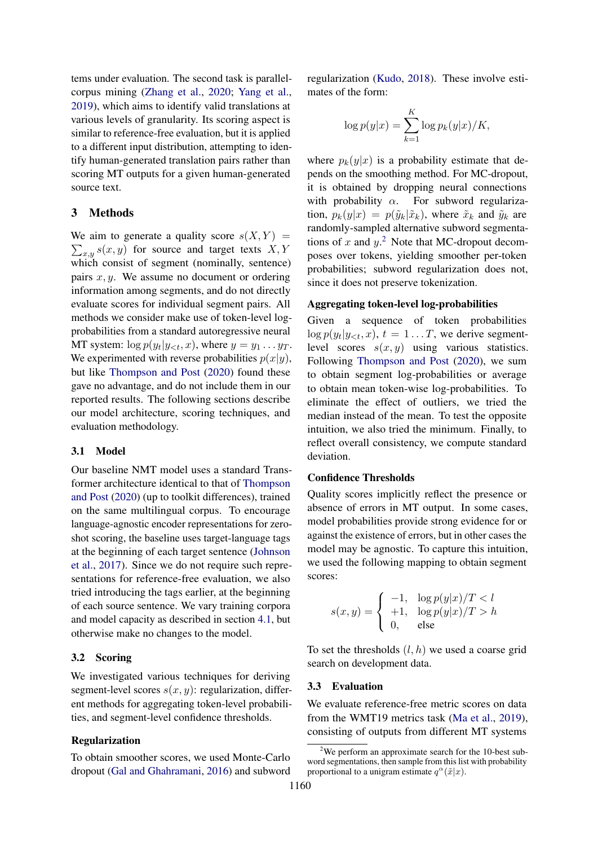tems under evaluation. The second task is parallelcorpus mining [\(Zhang et al.,](#page-10-10) [2020;](#page-10-10) [Yang et al.,](#page-10-11) [2019\)](#page-10-11), which aims to identify valid translations at various levels of granularity. Its scoring aspect is similar to reference-free evaluation, but it is applied to a different input distribution, attempting to identify human-generated translation pairs rather than scoring MT outputs for a given human-generated source text.

#### 3 Methods

We aim to generate a quality score  $s(X, Y) =$  $\sum_{x,y} s(x,y)$  for source and target texts X, Y which consist of segment (nominally, sentence) pairs  $x, y$ . We assume no document or ordering information among segments, and do not directly evaluate scores for individual segment pairs. All methods we consider make use of token-level logprobabilities from a standard autoregressive neural MT system:  $\log p(y_t|y_{< t}, x)$ , where  $y = y_1 \dots y_T$ . We experimented with reverse probabilities  $p(x|y)$ , but like [Thompson and Post](#page-10-5) [\(2020\)](#page-10-5) found these gave no advantage, and do not include them in our reported results. The following sections describe our model architecture, scoring techniques, and evaluation methodology.

#### 3.1 Model

Our baseline NMT model uses a standard Transformer architecture identical to that of [Thompson](#page-10-5) [and Post](#page-10-5) [\(2020\)](#page-10-5) (up to toolkit differences), trained on the same multilingual corpus. To encourage language-agnostic encoder representations for zeroshot scoring, the baseline uses target-language tags at the beginning of each target sentence [\(Johnson](#page-9-11) [et al.,](#page-9-11) [2017\)](#page-9-11). Since we do not require such representations for reference-free evaluation, we also tried introducing the tags earlier, at the beginning of each source sentence. We vary training corpora and model capacity as described in section [4.1,](#page-3-0) but otherwise make no changes to the model.

#### <span id="page-2-2"></span>3.2 Scoring

We investigated various techniques for deriving segment-level scores  $s(x, y)$ : regularization, different methods for aggregating token-level probabilities, and segment-level confidence thresholds.

### Regularization

To obtain smoother scores, we used Monte-Carlo dropout [\(Gal and Ghahramani,](#page-9-12) [2016\)](#page-9-12) and subword regularization [\(Kudo,](#page-9-13) [2018\)](#page-9-13). These involve estimates of the form:

$$
\log p(y|x) = \sum_{k=1}^{K} \log p_k(y|x)/K,
$$

where  $p_k(y|x)$  is a probability estimate that depends on the smoothing method. For MC-dropout, it is obtained by dropping neural connections with probability  $\alpha$ . For subword regularization,  $p_k(y|x) = p(\tilde{y}_k|\tilde{x}_k)$ , where  $\tilde{x}_k$  and  $\tilde{y}_k$  are randomly-sampled alternative subword segmentations of x and  $y$ .<sup>[2](#page-2-0)</sup> Note that MC-dropout decomposes over tokens, yielding smoother per-token probabilities; subword regularization does not, since it does not preserve tokenization.

#### Aggregating token-level log-probabilities

Given a sequence of token probabilities  $\log p(y_t|y_{<};,x), t = 1...T$ , we derive segmentlevel scores  $s(x, y)$  using various statistics. Following [Thompson and Post](#page-10-5) [\(2020\)](#page-10-5), we sum to obtain segment log-probabilities or average to obtain mean token-wise log-probabilities. To eliminate the effect of outliers, we tried the median instead of the mean. To test the opposite intuition, we also tried the minimum. Finally, to reflect overall consistency, we compute standard deviation.

#### Confidence Thresholds

Quality scores implicitly reflect the presence or absence of errors in MT output. In some cases, model probabilities provide strong evidence for or against the existence of errors, but in other cases the model may be agnostic. To capture this intuition, we used the following mapping to obtain segment scores:

$$
s(x, y) = \begin{cases} -1, & \log p(y|x)/T < l \\ +1, & \log p(y|x)/T > h \\ 0, & \text{else} \end{cases}
$$

To set the thresholds  $(l, h)$  we used a coarse grid search on development data.

#### <span id="page-2-1"></span>3.3 Evaluation

We evaluate reference-free metric scores on data from the WMT19 metrics task [\(Ma et al.,](#page-9-3) [2019\)](#page-9-3), consisting of outputs from different MT systems

<span id="page-2-0"></span> $2$ We perform an approximate search for the 10-best subword segmentations, then sample from this list with probability proportional to a unigram estimate  $q^{\alpha}(\tilde{x}|x)$ .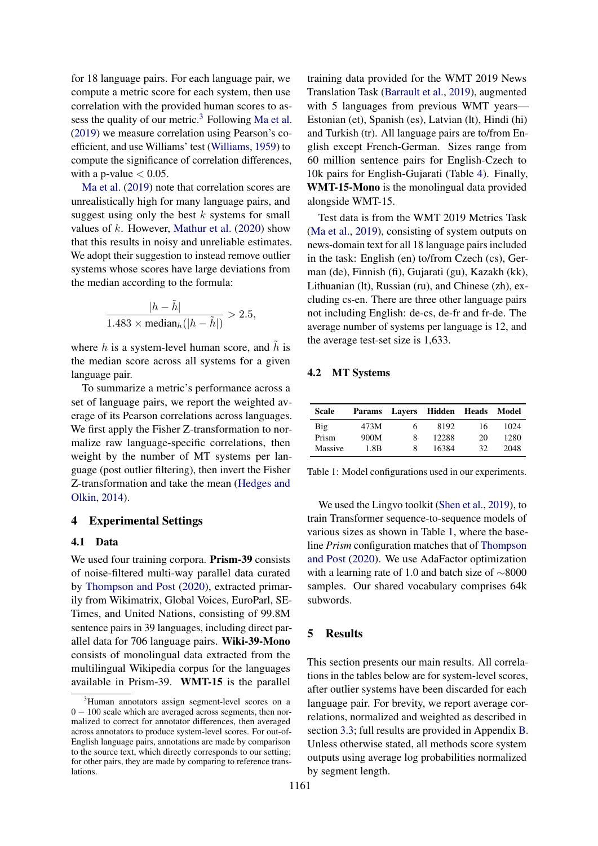for 18 language pairs. For each language pair, we compute a metric score for each system, then use correlation with the provided human scores to as-sess the quality of our metric.<sup>[3](#page-3-1)</sup> Following [Ma et al.](#page-9-3) [\(2019\)](#page-9-3) we measure correlation using Pearson's coefficient, and use Williams' test [\(Williams,](#page-10-12) [1959\)](#page-10-12) to compute the significance of correlation differences, with a p-value  $< 0.05$ .

[Ma et al.](#page-9-3) [\(2019\)](#page-9-3) note that correlation scores are unrealistically high for many language pairs, and suggest using only the best  $k$  systems for small values of  $k$ . However, [Mathur et al.](#page-9-14) [\(2020\)](#page-9-14) show that this results in noisy and unreliable estimates. We adopt their suggestion to instead remove outlier systems whose scores have large deviations from the median according to the formula:

$$
\frac{|h - \tilde{h}|}{1.483 \times \text{median}_h(|h - \tilde{h}|)} > 2.5,
$$

where h is a system-level human score, and  $\tilde{h}$  is the median score across all systems for a given language pair.

To summarize a metric's performance across a set of language pairs, we report the weighted average of its Pearson correlations across languages. We first apply the Fisher Z-transformation to normalize raw language-specific correlations, then weight by the number of MT systems per language (post outlier filtering), then invert the Fisher Z-transformation and take the mean [\(Hedges and](#page-9-15) [Olkin,](#page-9-15) [2014\)](#page-9-15).

#### 4 Experimental Settings

#### <span id="page-3-0"></span>4.1 Data

We used four training corpora. **Prism-39** consists of noise-filtered multi-way parallel data curated by [Thompson and Post](#page-10-5) [\(2020\)](#page-10-5), extracted primarily from Wikimatrix, Global Voices, EuroParl, SE-Times, and United Nations, consisting of 99.8M sentence pairs in 39 languages, including direct parallel data for 706 language pairs. Wiki-39-Mono consists of monolingual data extracted from the multilingual Wikipedia corpus for the languages available in Prism-39. WMT-15 is the parallel

training data provided for the WMT 2019 News Translation Task [\(Barrault et al.,](#page-9-16) [2019\)](#page-9-16), augmented with 5 languages from previous WMT years— Estonian (et), Spanish (es), Latvian (lt), Hindi (hi) and Turkish (tr). All language pairs are to/from English except French-German. Sizes range from 60 million sentence pairs for English-Czech to 10k pairs for English-Gujarati (Table [4\)](#page-4-0). Finally, WMT-15-Mono is the monolingual data provided alongside WMT-15.

Test data is from the WMT 2019 Metrics Task [\(Ma et al.,](#page-9-3) [2019\)](#page-9-3), consisting of system outputs on news-domain text for all 18 language pairs included in the task: English (en) to/from Czech (cs), German (de), Finnish (fi), Gujarati (gu), Kazakh (kk), Lithuanian (lt), Russian (ru), and Chinese (zh), excluding cs-en. There are three other language pairs not including English: de-cs, de-fr and fr-de. The average number of systems per language is 12, and the average test-set size is 1,633.

#### 4.2 MT Systems

<span id="page-3-2"></span>

| <b>Scale</b> |      |   | Params Lavers Hidden Heads |    | Model |
|--------------|------|---|----------------------------|----|-------|
| <b>Big</b>   | 473M | 6 | 8192                       | 16 | 1024  |
| Prism        | 900M | 8 | 12288                      | 20 | 1280  |
| Massive      | 1.8B | 8 | 16384                      | 32 | 2048  |

Table 1: Model configurations used in our experiments.

We used the Lingvo toolkit [\(Shen et al.,](#page-10-13) [2019\)](#page-10-13), to train Transformer sequence-to-sequence models of various sizes as shown in Table [1,](#page-3-2) where the baseline *Prism* configuration matches that of [Thompson](#page-10-5) [and Post](#page-10-5) [\(2020\)](#page-10-5). We use AdaFactor optimization with a learning rate of 1.0 and batch size of ∼8000 samples. Our shared vocabulary comprises 64k subwords.

#### 5 Results

This section presents our main results. All correlations in the tables below are for system-level scores, after outlier systems have been discarded for each language pair. For brevity, we report average correlations, normalized and weighted as described in section [3.3;](#page-2-1) full results are provided in Appendix [B.](#page-11-0) Unless otherwise stated, all methods score system outputs using average log probabilities normalized by segment length.

<span id="page-3-1"></span><sup>&</sup>lt;sup>3</sup>Human annotators assign segment-level scores on a 0 − 100 scale which are averaged across segments, then normalized to correct for annotator differences, then averaged across annotators to produce system-level scores. For out-of-English language pairs, annotations are made by comparison to the source text, which directly corresponds to our setting; for other pairs, they are made by comparing to reference translations.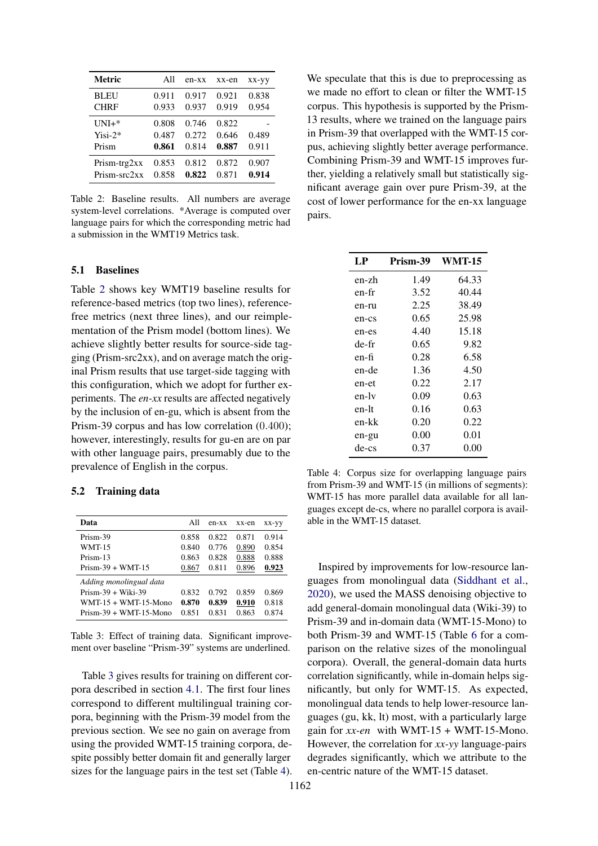<span id="page-4-1"></span>

| Metric                        | A11                     | $en$ - $xx$             | xx-en                   | xx-yy          |
|-------------------------------|-------------------------|-------------------------|-------------------------|----------------|
| <b>BLEU</b>                   | 0.911                   | 0.917                   | 0.921                   | 0.838          |
| <b>CHRF</b>                   | 0.933                   | 0.937                   | 0.919                   | 0.954          |
| $UNI+*$<br>$Yisi-2*$<br>Prism | 0.808<br>0.487<br>0.861 | 0.746<br>0.272<br>0.814 | 0.822<br>0.646<br>0.887 | 0.489<br>0.911 |
| $Prism-trg2xx$                | 0.853                   | 0.812                   | 0.872                   | 0.907          |
| Prism-src2xx                  | 0.858                   | 0.822                   | 0.871                   | 0.914          |

Table 2: Baseline results. All numbers are average system-level correlations. \*Average is computed over language pairs for which the corresponding metric had a submission in the WMT19 Metrics task.

#### 5.1 Baselines

Table [2](#page-4-1) shows key WMT19 baseline results for reference-based metrics (top two lines), referencefree metrics (next three lines), and our reimplementation of the Prism model (bottom lines). We achieve slightly better results for source-side tagging (Prism-src2xx), and on average match the original Prism results that use target-side tagging with this configuration, which we adopt for further experiments. The *en-xx* results are affected negatively by the inclusion of en-gu, which is absent from the Prism-39 corpus and has low correlation (0.400); however, interestingly, results for gu-en are on par with other language pairs, presumably due to the prevalence of English in the corpus.

#### 5.2 Training data

<span id="page-4-2"></span>

| Data                     | A11   | $en$ - $xx$ | xx-en | XX-VV |
|--------------------------|-------|-------------|-------|-------|
| Prism-39                 | 0.858 | 0.822       | 0.871 | 0.914 |
| WMT-15                   | 0.840 | 0.776       | 0.890 | 0.854 |
| Prism-13                 | 0.863 | 0.828       | 0.888 | 0.888 |
| $Prism-39 + WMT-15$      | 0.867 | 0.811       | 0.896 | 0.923 |
| Adding monolingual data  |       |             |       |       |
| $Prism-39 + Wiki-39$     | 0.832 | 0.792       | 0.859 | 0.869 |
| $WMT-15 + WMT-15-Mono$   | 0.870 | 0.839       | 0.910 | 0.818 |
| $Prism-39 + WMT-15-Mono$ | 0.851 | 0.831       | 0.863 | 0.874 |

Table 3: Effect of training data. Significant improvement over baseline "Prism-39" systems are underlined.

Table [3](#page-4-2) gives results for training on different corpora described in section [4.1.](#page-3-0) The first four lines correspond to different multilingual training corpora, beginning with the Prism-39 model from the previous section. We see no gain on average from using the provided WMT-15 training corpora, despite possibly better domain fit and generally larger sizes for the language pairs in the test set (Table [4\)](#page-4-0).

We speculate that this is due to preprocessing as we made no effort to clean or filter the WMT-15 corpus. This hypothesis is supported by the Prism-13 results, where we trained on the language pairs in Prism-39 that overlapped with the WMT-15 corpus, achieving slightly better average performance. Combining Prism-39 and WMT-15 improves further, yielding a relatively small but statistically significant average gain over pure Prism-39, at the cost of lower performance for the en-xx language pairs.

<span id="page-4-0"></span>

| LP    | Prism-39 | <b>WMT-15</b> |
|-------|----------|---------------|
| en-zh | 1.49     | 64.33         |
| en-fr | 3.52     | 40.44         |
| en-ru | 2.25     | 38.49         |
| en-cs | 0.65     | 25.98         |
| en-es | 4.40     | 15.18         |
| de-fr | 0.65     | 9.82          |
| en-fi | 0.28     | 6.58          |
| en-de | 1.36     | 4.50          |
| en-et | 0.22     | 2.17          |
| en-lv | 0.09     | 0.63          |
| en-lt | 0.16     | 0.63          |
| en-kk | 0.20     | 0.22          |
| en-gu | 0.00     | 0.01          |
| de-cs | 0.37     | 0.00          |

Table 4: Corpus size for overlapping language pairs from Prism-39 and WMT-15 (in millions of segments): WMT-15 has more parallel data available for all languages except de-cs, where no parallel corpora is available in the WMT-15 dataset.

Inspired by improvements for low-resource languages from monolingual data [\(Siddhant et al.,](#page-10-14) [2020\)](#page-10-14), we used the MASS denoising objective to add general-domain monolingual data (Wiki-39) to Prism-39 and in-domain data (WMT-15-Mono) to both Prism-39 and WMT-15 (Table [6](#page-5-0) for a comparison on the relative sizes of the monolingual corpora). Overall, the general-domain data hurts correlation significantly, while in-domain helps significantly, but only for WMT-15. As expected, monolingual data tends to help lower-resource languages (gu, kk, lt) most, with a particularly large gain for  $xx$ -en with WMT-15 + WMT-15-Mono. However, the correlation for *xx-yy* language-pairs degrades significantly, which we attribute to the en-centric nature of the WMT-15 dataset.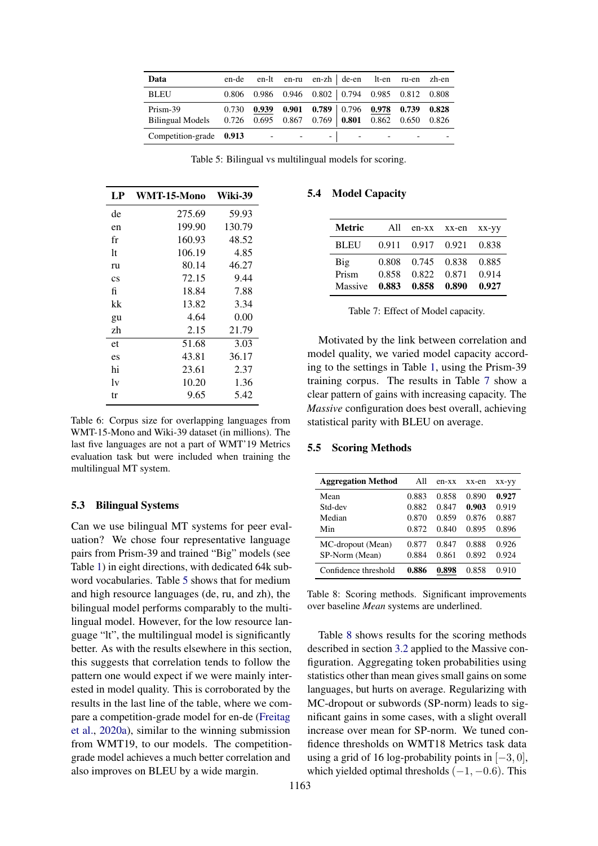<span id="page-5-1"></span>

| Data                                                             | en-de |                              | en-lt en-ru en-zh de-en lt-en ru-en zh-en               |                          |  |
|------------------------------------------------------------------|-------|------------------------------|---------------------------------------------------------|--------------------------|--|
| <b>BLEU</b>                                                      | 0.806 |                              | $0.986$ $0.946$ $0.802$ $0.794$ $0.985$ $0.812$ $0.808$ |                          |  |
| Prism-39                                                         | 0.730 |                              | 0.939 0.901 0.789 0.796 0.978 0.739 0.828               |                          |  |
| Bilingual Models 0.726 0.695 0.867 0.769 0.801 0.862 0.650 0.826 |       |                              |                                                         |                          |  |
| Competition-grade 0.913                                          |       | and the contract of the con- | the first contract of the contract of                   | $\overline{\phantom{a}}$ |  |

Table 5: Bilingual vs multilingual models for scoring.

<span id="page-5-0"></span>

| LP                     | WMT-15-Mono | Wiki-39 |
|------------------------|-------------|---------|
| de                     | 275.69      | 59.93   |
| en                     | 199.90      | 130.79  |
| fr                     | 160.93      | 48.52   |
| 1t                     | 106.19      | 4.85    |
| ru                     | 80.14       | 46.27   |
| $\mathbf{c}\mathbf{s}$ | 72.15       | 9.44    |
| fi                     | 18.84       | 7.88    |
| kk                     | 13.82       | 3.34    |
| gu                     | 4.64        | 0.00    |
| zh                     | 2.15        | 21.79   |
| et                     | 51.68       | 3.03    |
| es                     | 43.81       | 36.17   |
| hi                     | 23.61       | 2.37    |
| 1v                     | 10.20       | 1.36    |
| tr                     | 9.65        | 5.42    |

Table 6: Corpus size for overlapping languages from WMT-15-Mono and Wiki-39 dataset (in millions). The last five languages are not a part of WMT'19 Metrics evaluation task but were included when training the multilingual MT system.

#### 5.3 Bilingual Systems

Can we use bilingual MT systems for peer evaluation? We chose four representative language pairs from Prism-39 and trained "Big" models (see Table [1\)](#page-3-2) in eight directions, with dedicated 64k subword vocabularies. Table [5](#page-5-1) shows that for medium and high resource languages (de, ru, and zh), the bilingual model performs comparably to the multilingual model. However, for the low resource language "lt", the multilingual model is significantly better. As with the results elsewhere in this section, this suggests that correlation tends to follow the pattern one would expect if we were mainly interested in model quality. This is corroborated by the results in the last line of the table, where we compare a competition-grade model for en-de [\(Freitag](#page-9-17) [et al.,](#page-9-17) [2020a\)](#page-9-17), similar to the winning submission from WMT19, to our models. The competitiongrade model achieves a much better correlation and also improves on BLEU by a wide margin.

# <span id="page-5-2"></span>5.4 Model Capacity

| <b>Metric</b> | All            |                         | en-xx xx-en | $XX$ - $YY$    |
|---------------|----------------|-------------------------|-------------|----------------|
| <b>BLEU</b>   |                | 0.911 0.917 0.921 0.838 |             |                |
| Big<br>Prism  | 0.808<br>0.858 | 0.745 0.838<br>0.822    | 0.871       | 0.885<br>0.914 |
| Massive       |                | 0.883 0.858 0.890       |             | 0.927          |

|  |  | Table 7: Effect of Model capacity. |  |
|--|--|------------------------------------|--|
|--|--|------------------------------------|--|

Motivated by the link between correlation and model quality, we varied model capacity according to the settings in Table [1,](#page-3-2) using the Prism-39 training corpus. The results in Table [7](#page-5-2) show a clear pattern of gains with increasing capacity. The *Massive* configuration does best overall, achieving statistical parity with BLEU on average.

#### 5.5 Scoring Methods

<span id="page-5-3"></span>

| <b>Aggregation Method</b> | All   | en-xx | xx-en | XX-YY |
|---------------------------|-------|-------|-------|-------|
| Mean                      | 0.883 | 0.858 | 0.890 | 0.927 |
| Std-dev                   | 0.882 | 0.847 | 0.903 | 0.919 |
| Median                    | 0.870 | 0.859 | 0.876 | 0.887 |
| Min                       | 0.872 | 0.840 | 0.895 | 0.896 |
| MC-dropout (Mean)         | 0.877 | 0.847 | 0.888 | 0.926 |
| SP-Norm (Mean)            | 0.884 | 0.861 | 0.892 | 0.924 |
| Confidence threshold      | 0.886 | 0.898 | 0.858 | 0.910 |

Table 8: Scoring methods. Significant improvements over baseline *Mean* systems are underlined.

Table [8](#page-5-3) shows results for the scoring methods described in section [3.2](#page-2-2) applied to the Massive configuration. Aggregating token probabilities using statistics other than mean gives small gains on some languages, but hurts on average. Regularizing with MC-dropout or subwords (SP-norm) leads to significant gains in some cases, with a slight overall increase over mean for SP-norm. We tuned confidence thresholds on WMT18 Metrics task data using a grid of 16 log-probability points in  $[-3, 0]$ , which yielded optimal thresholds  $(-1, -0.6)$ . This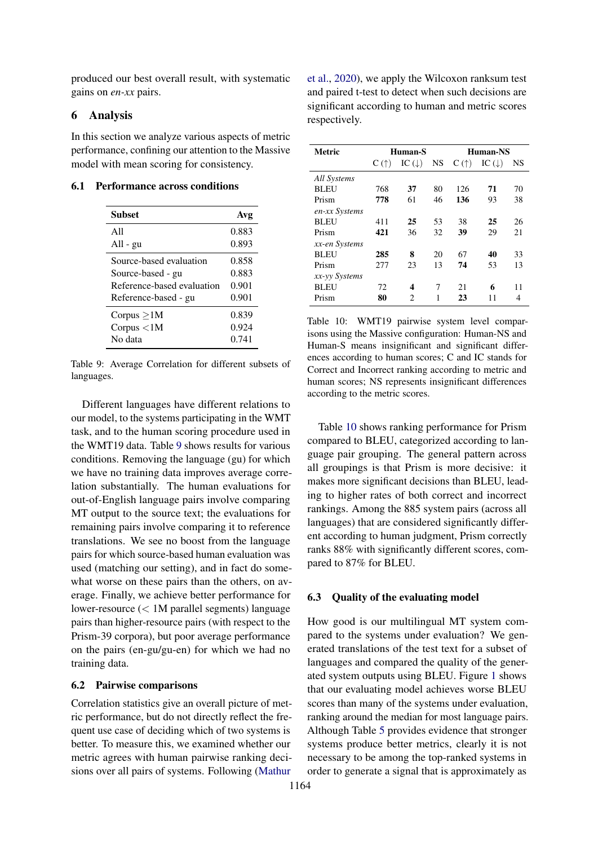produced our best overall result, with systematic gains on *en-xx* pairs.

## 6 Analysis

In this section we analyze various aspects of metric performance, confining our attention to the Massive model with mean scoring for consistency.

#### <span id="page-6-0"></span>6.1 Performance across conditions

| <b>Subset</b>              | Avg   |
|----------------------------|-------|
| A11                        | 0.883 |
| All - gu                   | 0.893 |
| Source-based evaluation    | 0.858 |
| Source-based - gu          | 0.883 |
| Reference-based evaluation | 0.901 |
| Reference-based - gu       | 0.901 |
| Corpus $\geq$ 1M           | 0.839 |
| Corpus $<$ 1M              | 0.924 |
| No data                    | 0.741 |

Table 9: Average Correlation for different subsets of languages.

Different languages have different relations to our model, to the systems participating in the WMT task, and to the human scoring procedure used in the WMT19 data. Table [9](#page-6-0) shows results for various conditions. Removing the language (gu) for which we have no training data improves average correlation substantially. The human evaluations for out-of-English language pairs involve comparing MT output to the source text; the evaluations for remaining pairs involve comparing it to reference translations. We see no boost from the language pairs for which source-based human evaluation was used (matching our setting), and in fact do somewhat worse on these pairs than the others, on average. Finally, we achieve better performance for lower-resource (< 1M parallel segments) language pairs than higher-resource pairs (with respect to the Prism-39 corpora), but poor average performance on the pairs (en-gu/gu-en) for which we had no training data.

#### 6.2 Pairwise comparisons

Correlation statistics give an overall picture of metric performance, but do not directly reflect the frequent use case of deciding which of two systems is better. To measure this, we examined whether our metric agrees with human pairwise ranking decisions over all pairs of systems. Following [\(Mathur](#page-9-14)

[et al.,](#page-9-14) [2020\)](#page-9-14), we apply the Wilcoxon ranksum test and paired t-test to detect when such decisions are significant according to human and metric scores respectively.

<span id="page-6-1"></span>

| <b>Metric</b> |               | Human-S           |     |               | Human-NS          |           |
|---------------|---------------|-------------------|-----|---------------|-------------------|-----------|
|               | $C(\uparrow)$ | IC $(\downarrow)$ | NS. | $C(\uparrow)$ | IC $(\downarrow)$ | <b>NS</b> |
| All Systems   |               |                   |     |               |                   |           |
| <b>BLEU</b>   | 768           | 37                | 80  | 126           | 71                | 70        |
| Prism         | 778           | 61                | 46  | 136           | 93                | 38        |
| en-xx Systems |               |                   |     |               |                   |           |
| BLEU          | 411           | 25                | 53  | 38            | 25                | 26        |
| Prism         | 421           | 36                | 32  | 39            | 29                | 21        |
| xx-en Systems |               |                   |     |               |                   |           |
| <b>BLEU</b>   | 285           | 8                 | 20  | 67            | 40                | 33        |
| Prism         | 277           | 23                | 13  | 74            | 53                | 13        |
| xx-yy Systems |               |                   |     |               |                   |           |
| BLEU          | 72            | 4                 | 7   | 21            | 6                 | 11        |
| Prism         | 80            | 2                 | 1   | 23            | 11                | 4         |
|               |               |                   |     |               |                   |           |

Table 10: WMT19 pairwise system level comparisons using the Massive configuration: Human-NS and Human-S means insignificant and significant differences according to human scores; C and IC stands for Correct and Incorrect ranking according to metric and human scores; NS represents insignificant differences according to the metric scores.

Table [10](#page-6-1) shows ranking performance for Prism compared to BLEU, categorized according to language pair grouping. The general pattern across all groupings is that Prism is more decisive: it makes more significant decisions than BLEU, leading to higher rates of both correct and incorrect rankings. Among the 885 system pairs (across all languages) that are considered significantly different according to human judgment, Prism correctly ranks 88% with significantly different scores, compared to 87% for BLEU.

#### 6.3 Quality of the evaluating model

How good is our multilingual MT system compared to the systems under evaluation? We generated translations of the test text for a subset of languages and compared the quality of the generated system outputs using BLEU. Figure [1](#page-7-0) shows that our evaluating model achieves worse BLEU scores than many of the systems under evaluation, ranking around the median for most language pairs. Although Table [5](#page-5-1) provides evidence that stronger systems produce better metrics, clearly it is not necessary to be among the top-ranked systems in order to generate a signal that is approximately as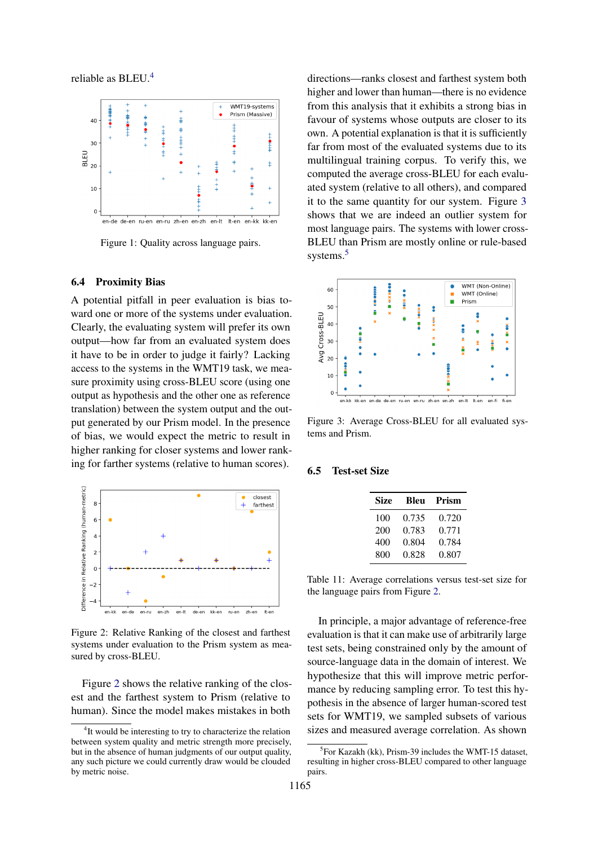reliable as BLEU.[4](#page-7-1)

<span id="page-7-0"></span>

Figure 1: Quality across language pairs.

#### 6.4 Proximity Bias

A potential pitfall in peer evaluation is bias toward one or more of the systems under evaluation. Clearly, the evaluating system will prefer its own output—how far from an evaluated system does it have to be in order to judge it fairly? Lacking access to the systems in the WMT19 task, we measure proximity using cross-BLEU score (using one output as hypothesis and the other one as reference translation) between the system output and the output generated by our Prism model. In the presence of bias, we would expect the metric to result in higher ranking for closer systems and lower ranking for farther systems (relative to human scores).

<span id="page-7-2"></span>

Figure 2: Relative Ranking of the closest and farthest systems under evaluation to the Prism system as measured by cross-BLEU.

Figure [2](#page-7-2) shows the relative ranking of the closest and the farthest system to Prism (relative to human). Since the model makes mistakes in both

directions—ranks closest and farthest system both higher and lower than human—there is no evidence from this analysis that it exhibits a strong bias in favour of systems whose outputs are closer to its own. A potential explanation is that it is sufficiently far from most of the evaluated systems due to its multilingual training corpus. To verify this, we computed the average cross-BLEU for each evaluated system (relative to all others), and compared it to the same quantity for our system. Figure [3](#page-7-3) shows that we are indeed an outlier system for most language pairs. The systems with lower cross-BLEU than Prism are mostly online or rule-based systems.<sup>[5](#page-7-4)</sup>

<span id="page-7-3"></span>

Figure 3: Average Cross-BLEU for all evaluated systems and Prism.

#### <span id="page-7-5"></span>6.5 Test-set Size

| <b>Size</b> | Bleu  | Prism |
|-------------|-------|-------|
| 100         | 0.735 | 0.720 |
| 200         | 0.783 | 0.771 |
| 400         | 0.804 | 0.784 |
| 800         | 0.828 | 0.807 |

Table 11: Average correlations versus test-set size for the language pairs from Figure [2.](#page-7-2)

In principle, a major advantage of reference-free evaluation is that it can make use of arbitrarily large test sets, being constrained only by the amount of source-language data in the domain of interest. We hypothesize that this will improve metric performance by reducing sampling error. To test this hypothesis in the absence of larger human-scored test sets for WMT19, we sampled subsets of various sizes and measured average correlation. As shown

<span id="page-7-1"></span><sup>&</sup>lt;sup>4</sup>It would be interesting to try to characterize the relation between system quality and metric strength more precisely, but in the absence of human judgments of our output quality, any such picture we could currently draw would be clouded by metric noise.

<span id="page-7-4"></span><sup>&</sup>lt;sup>5</sup>For Kazakh (kk), Prism-39 includes the WMT-15 dataset, resulting in higher cross-BLEU compared to other language pairs.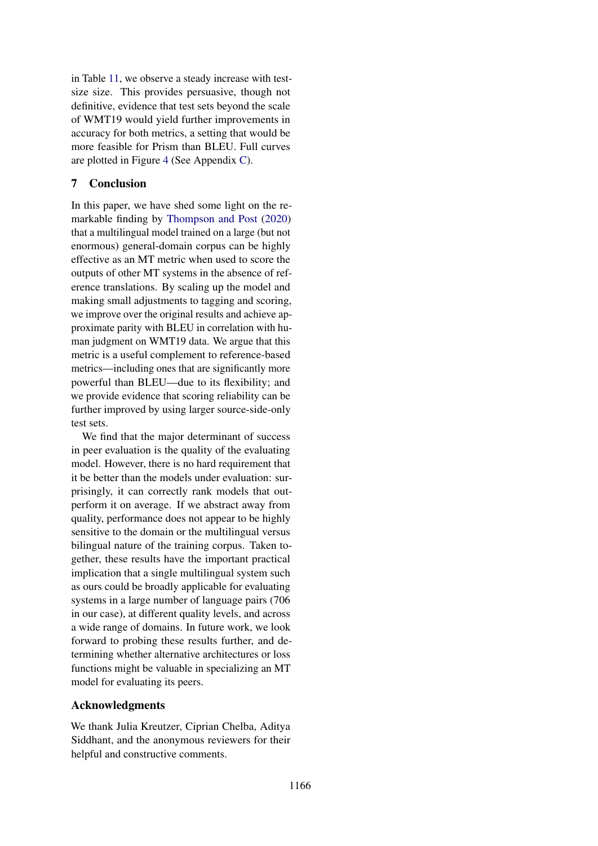in Table [11,](#page-7-5) we observe a steady increase with testsize size. This provides persuasive, though not definitive, evidence that test sets beyond the scale of WMT19 would yield further improvements in accuracy for both metrics, a setting that would be more feasible for Prism than BLEU. Full curves are plotted in Figure [4](#page-13-0) (See Appendix [C\)](#page-13-1).

## 7 Conclusion

In this paper, we have shed some light on the remarkable finding by [Thompson and Post](#page-10-5) [\(2020\)](#page-10-5) that a multilingual model trained on a large (but not enormous) general-domain corpus can be highly effective as an MT metric when used to score the outputs of other MT systems in the absence of reference translations. By scaling up the model and making small adjustments to tagging and scoring, we improve over the original results and achieve approximate parity with BLEU in correlation with human judgment on WMT19 data. We argue that this metric is a useful complement to reference-based metrics—including ones that are significantly more powerful than BLEU—due to its flexibility; and we provide evidence that scoring reliability can be further improved by using larger source-side-only test sets.

We find that the major determinant of success in peer evaluation is the quality of the evaluating model. However, there is no hard requirement that it be better than the models under evaluation: surprisingly, it can correctly rank models that outperform it on average. If we abstract away from quality, performance does not appear to be highly sensitive to the domain or the multilingual versus bilingual nature of the training corpus. Taken together, these results have the important practical implication that a single multilingual system such as ours could be broadly applicable for evaluating systems in a large number of language pairs (706 in our case), at different quality levels, and across a wide range of domains. In future work, we look forward to probing these results further, and determining whether alternative architectures or loss functions might be valuable in specializing an MT model for evaluating its peers.

## Acknowledgments

We thank Julia Kreutzer, Ciprian Chelba, Aditya Siddhant, and the anonymous reviewers for their helpful and constructive comments.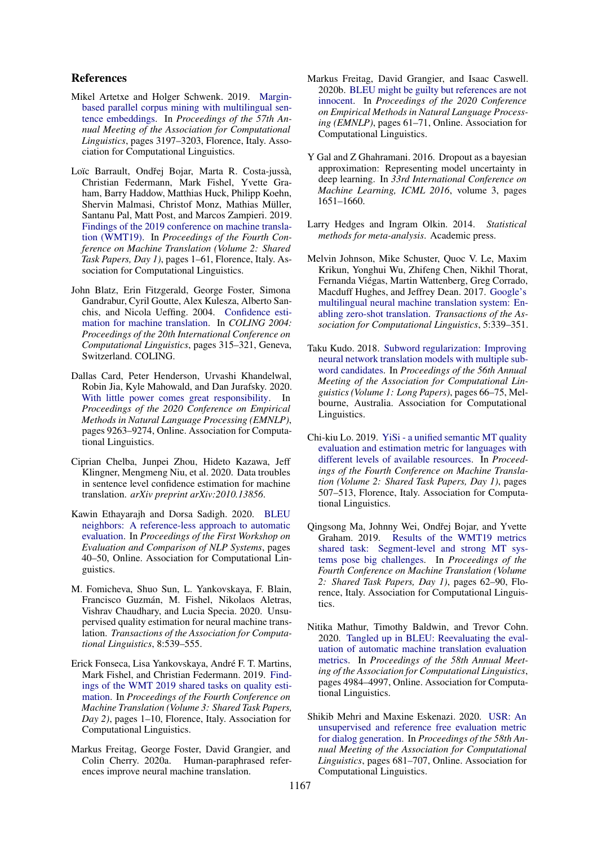#### References

- <span id="page-9-7"></span>Mikel Artetxe and Holger Schwenk. 2019. [Margin](https://doi.org/10.18653/v1/P19-1309)[based parallel corpus mining with multilingual sen](https://doi.org/10.18653/v1/P19-1309)[tence embeddings.](https://doi.org/10.18653/v1/P19-1309) In *Proceedings of the 57th Annual Meeting of the Association for Computational Linguistics*, pages 3197–3203, Florence, Italy. Association for Computational Linguistics.
- <span id="page-9-16"></span>Loïc Barrault, Ondřej Bojar, Marta R. Costa-jussà, Christian Federmann, Mark Fishel, Yvette Graham, Barry Haddow, Matthias Huck, Philipp Koehn, Shervin Malmasi, Christof Monz, Mathias Müller, Santanu Pal, Matt Post, and Marcos Zampieri. 2019. [Findings of the 2019 conference on machine transla](https://doi.org/10.18653/v1/W19-5301)[tion \(WMT19\).](https://doi.org/10.18653/v1/W19-5301) In *Proceedings of the Fourth Conference on Machine Translation (Volume 2: Shared Task Papers, Day 1)*, pages 1–61, Florence, Italy. Association for Computational Linguistics.
- <span id="page-9-8"></span>John Blatz, Erin Fitzgerald, George Foster, Simona Gandrabur, Cyril Goutte, Alex Kulesza, Alberto Sanchis, and Nicola Ueffing. 2004. [Confidence esti](https://www.aclweb.org/anthology/C04-1046)[mation for machine translation.](https://www.aclweb.org/anthology/C04-1046) In *COLING 2004: Proceedings of the 20th International Conference on Computational Linguistics*, pages 315–321, Geneva, Switzerland. COLING.
- <span id="page-9-0"></span>Dallas Card, Peter Henderson, Urvashi Khandelwal, Robin Jia, Kyle Mahowald, and Dan Jurafsky. 2020. [With little power comes great responsibility.](https://www.aclweb.org/anthology/2020.emnlp-main.745) In *Proceedings of the 2020 Conference on Empirical Methods in Natural Language Processing (EMNLP)*, pages 9263–9274, Online. Association for Computational Linguistics.
- <span id="page-9-9"></span>Ciprian Chelba, Junpei Zhou, Hideto Kazawa, Jeff Klingner, Mengmeng Niu, et al. 2020. Data troubles in sentence level confidence estimation for machine translation. *arXiv preprint arXiv:2010.13856*.
- <span id="page-9-5"></span>Kawin Ethayarajh and Dorsa Sadigh. 2020. [BLEU](https://www.aclweb.org/anthology/2020.eval4nlp-1.5) [neighbors: A reference-less approach to automatic](https://www.aclweb.org/anthology/2020.eval4nlp-1.5) [evaluation.](https://www.aclweb.org/anthology/2020.eval4nlp-1.5) In *Proceedings of the First Workshop on Evaluation and Comparison of NLP Systems*, pages 40–50, Online. Association for Computational Linguistics.
- <span id="page-9-10"></span>M. Fomicheva, Shuo Sun, L. Yankovskaya, F. Blain, Francisco Guzmán, M. Fishel, Nikolaos Aletras, Vishrav Chaudhary, and Lucia Specia. 2020. Unsupervised quality estimation for neural machine translation. *Transactions of the Association for Computational Linguistics*, 8:539–555.
- <span id="page-9-6"></span>Erick Fonseca, Lisa Yankovskaya, Andre F. T. Martins, ´ Mark Fishel, and Christian Federmann. 2019. [Find](https://doi.org/10.18653/v1/W19-5401)[ings of the WMT 2019 shared tasks on quality esti](https://doi.org/10.18653/v1/W19-5401)[mation.](https://doi.org/10.18653/v1/W19-5401) In *Proceedings of the Fourth Conference on Machine Translation (Volume 3: Shared Task Papers, Day 2)*, pages 1–10, Florence, Italy. Association for Computational Linguistics.
- <span id="page-9-17"></span>Markus Freitag, George Foster, David Grangier, and Colin Cherry. 2020a. Human-paraphrased references improve neural machine translation.
- <span id="page-9-1"></span>Markus Freitag, David Grangier, and Isaac Caswell. 2020b. [BLEU might be guilty but references are not](https://www.aclweb.org/anthology/2020.emnlp-main.5) [innocent.](https://www.aclweb.org/anthology/2020.emnlp-main.5) In *Proceedings of the 2020 Conference on Empirical Methods in Natural Language Processing (EMNLP)*, pages 61–71, Online. Association for Computational Linguistics.
- <span id="page-9-12"></span>Y Gal and Z Ghahramani. 2016. Dropout as a bayesian approximation: Representing model uncertainty in deep learning. In *33rd International Conference on Machine Learning, ICML 2016*, volume 3, pages 1651–1660.
- <span id="page-9-15"></span>Larry Hedges and Ingram Olkin. 2014. *Statistical methods for meta-analysis*. Academic press.
- <span id="page-9-11"></span>Melvin Johnson, Mike Schuster, Quoc V. Le, Maxim Krikun, Yonghui Wu, Zhifeng Chen, Nikhil Thorat, Fernanda Viegas, Martin Wattenberg, Greg Corrado, ´ Macduff Hughes, and Jeffrey Dean. 2017. [Google's](https://doi.org/10.1162/tacl_a_00065) [multilingual neural machine translation system: En](https://doi.org/10.1162/tacl_a_00065)[abling zero-shot translation.](https://doi.org/10.1162/tacl_a_00065) *Transactions of the Association for Computational Linguistics*, 5:339–351.
- <span id="page-9-13"></span>Taku Kudo. 2018. [Subword regularization: Improving](https://doi.org/10.18653/v1/P18-1007) [neural network translation models with multiple sub](https://doi.org/10.18653/v1/P18-1007)[word candidates.](https://doi.org/10.18653/v1/P18-1007) In *Proceedings of the 56th Annual Meeting of the Association for Computational Linguistics (Volume 1: Long Papers)*, pages 66–75, Melbourne, Australia. Association for Computational Linguistics.
- <span id="page-9-2"></span>Chi-kiu Lo. 2019. [YiSi - a unified semantic MT quality](https://doi.org/10.18653/v1/W19-5358) [evaluation and estimation metric for languages with](https://doi.org/10.18653/v1/W19-5358) [different levels of available resources.](https://doi.org/10.18653/v1/W19-5358) In *Proceedings of the Fourth Conference on Machine Translation (Volume 2: Shared Task Papers, Day 1)*, pages 507–513, Florence, Italy. Association for Computational Linguistics.
- <span id="page-9-3"></span>Qingsong Ma, Johnny Wei, Ondřej Bojar, and Yvette Graham. 2019. [Results of the WMT19 metrics](https://doi.org/10.18653/v1/W19-5302) [shared task: Segment-level and strong MT sys](https://doi.org/10.18653/v1/W19-5302)[tems pose big challenges.](https://doi.org/10.18653/v1/W19-5302) In *Proceedings of the Fourth Conference on Machine Translation (Volume 2: Shared Task Papers, Day 1)*, pages 62–90, Florence, Italy. Association for Computational Linguistics.
- <span id="page-9-14"></span>Nitika Mathur, Timothy Baldwin, and Trevor Cohn. 2020. [Tangled up in BLEU: Reevaluating the eval](https://doi.org/10.18653/v1/2020.acl-main.448)[uation of automatic machine translation evaluation](https://doi.org/10.18653/v1/2020.acl-main.448) [metrics.](https://doi.org/10.18653/v1/2020.acl-main.448) In *Proceedings of the 58th Annual Meeting of the Association for Computational Linguistics*, pages 4984–4997, Online. Association for Computational Linguistics.
- <span id="page-9-4"></span>Shikib Mehri and Maxine Eskenazi. 2020. [USR: An](https://doi.org/10.18653/v1/2020.acl-main.64) [unsupervised and reference free evaluation metric](https://doi.org/10.18653/v1/2020.acl-main.64) [for dialog generation.](https://doi.org/10.18653/v1/2020.acl-main.64) In *Proceedings of the 58th Annual Meeting of the Association for Computational Linguistics*, pages 681–707, Online. Association for Computational Linguistics.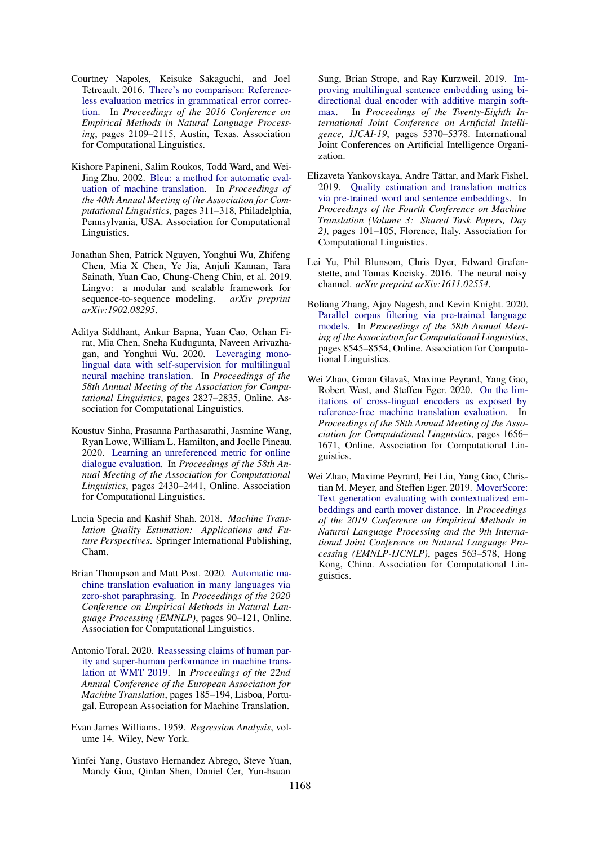- <span id="page-10-6"></span>Courtney Napoles, Keisuke Sakaguchi, and Joel Tetreault. 2016. [There's no comparison: Reference](https://doi.org/10.18653/v1/D16-1228)[less evaluation metrics in grammatical error correc](https://doi.org/10.18653/v1/D16-1228)[tion.](https://doi.org/10.18653/v1/D16-1228) In *Proceedings of the 2016 Conference on Empirical Methods in Natural Language Processing*, pages 2109–2115, Austin, Texas. Association for Computational Linguistics.
- <span id="page-10-0"></span>Kishore Papineni, Salim Roukos, Todd Ward, and Wei-Jing Zhu. 2002. [Bleu: a method for automatic eval](https://doi.org/10.3115/1073083.1073135)[uation of machine translation.](https://doi.org/10.3115/1073083.1073135) In *Proceedings of the 40th Annual Meeting of the Association for Computational Linguistics*, pages 311–318, Philadelphia, Pennsylvania, USA. Association for Computational Linguistics.
- <span id="page-10-13"></span>Jonathan Shen, Patrick Nguyen, Yonghui Wu, Zhifeng Chen, Mia X Chen, Ye Jia, Anjuli Kannan, Tara Sainath, Yuan Cao, Chung-Cheng Chiu, et al. 2019. Lingvo: a modular and scalable framework for sequence-to-sequence modeling. *arXiv preprint arXiv:1902.08295*.
- <span id="page-10-14"></span>Aditya Siddhant, Ankur Bapna, Yuan Cao, Orhan Firat, Mia Chen, Sneha Kudugunta, Naveen Arivazhagan, and Yonghui Wu. 2020. [Leveraging mono](https://doi.org/10.18653/v1/2020.acl-main.252)[lingual data with self-supervision for multilingual](https://doi.org/10.18653/v1/2020.acl-main.252) [neural machine translation.](https://doi.org/10.18653/v1/2020.acl-main.252) In *Proceedings of the 58th Annual Meeting of the Association for Computational Linguistics*, pages 2827–2835, Online. Association for Computational Linguistics.
- <span id="page-10-7"></span>Koustuv Sinha, Prasanna Parthasarathi, Jasmine Wang, Ryan Lowe, William L. Hamilton, and Joelle Pineau. 2020. [Learning an unreferenced metric for online](https://doi.org/10.18653/v1/2020.acl-main.220) [dialogue evaluation.](https://doi.org/10.18653/v1/2020.acl-main.220) In *Proceedings of the 58th Annual Meeting of the Association for Computational Linguistics*, pages 2430–2441, Online. Association for Computational Linguistics.
- <span id="page-10-9"></span>Lucia Specia and Kashif Shah. 2018. *Machine Translation Quality Estimation: Applications and Future Perspectives*. Springer International Publishing, Cham.
- <span id="page-10-5"></span>Brian Thompson and Matt Post. 2020. [Automatic ma](https://www.aclweb.org/anthology/2020.emnlp-main.8)[chine translation evaluation in many languages via](https://www.aclweb.org/anthology/2020.emnlp-main.8) [zero-shot paraphrasing.](https://www.aclweb.org/anthology/2020.emnlp-main.8) In *Proceedings of the 2020 Conference on Empirical Methods in Natural Language Processing (EMNLP)*, pages 90–121, Online. Association for Computational Linguistics.
- <span id="page-10-1"></span>Antonio Toral. 2020. [Reassessing claims of human par](https://www.aclweb.org/anthology/2020.eamt-1.20)[ity and super-human performance in machine trans](https://www.aclweb.org/anthology/2020.eamt-1.20)[lation at WMT 2019.](https://www.aclweb.org/anthology/2020.eamt-1.20) In *Proceedings of the 22nd Annual Conference of the European Association for Machine Translation*, pages 185–194, Lisboa, Portugal. European Association for Machine Translation.
- <span id="page-10-12"></span>Evan James Williams. 1959. *Regression Analysis*, volume 14. Wiley, New York.
- <span id="page-10-11"></span>Yinfei Yang, Gustavo Hernandez Abrego, Steve Yuan, Mandy Guo, Qinlan Shen, Daniel Cer, Yun-hsuan

Sung, Brian Strope, and Ray Kurzweil. 2019. [Im](https://doi.org/10.24963/ijcai.2019/746)[proving multilingual sentence embedding using bi](https://doi.org/10.24963/ijcai.2019/746)[directional dual encoder with additive margin soft](https://doi.org/10.24963/ijcai.2019/746)[max.](https://doi.org/10.24963/ijcai.2019/746) In *Proceedings of the Twenty-Eighth International Joint Conference on Artificial Intelligence, IJCAI-19*, pages 5370–5378. International Joint Conferences on Artificial Intelligence Organization.

- <span id="page-10-2"></span>Elizaveta Yankovskaya, Andre Tättar, and Mark Fishel. 2019. [Quality estimation and translation metrics](https://doi.org/10.18653/v1/W19-5410) [via pre-trained word and sentence embeddings.](https://doi.org/10.18653/v1/W19-5410) In *Proceedings of the Fourth Conference on Machine Translation (Volume 3: Shared Task Papers, Day 2)*, pages 101–105, Florence, Italy. Association for Computational Linguistics.
- <span id="page-10-4"></span>Lei Yu, Phil Blunsom, Chris Dyer, Edward Grefenstette, and Tomas Kocisky. 2016. The neural noisy channel. *arXiv preprint arXiv:1611.02554*.
- <span id="page-10-10"></span>Boliang Zhang, Ajay Nagesh, and Kevin Knight. 2020. [Parallel corpus filtering via pre-trained language](https://doi.org/10.18653/v1/2020.acl-main.756) [models.](https://doi.org/10.18653/v1/2020.acl-main.756) In *Proceedings of the 58th Annual Meeting of the Association for Computational Linguistics*, pages 8545–8554, Online. Association for Computational Linguistics.
- <span id="page-10-3"></span>Wei Zhao, Goran Glavaš, Maxime Peyrard, Yang Gao, Robert West, and Steffen Eger. 2020. [On the lim](https://doi.org/10.18653/v1/2020.acl-main.151)[itations of cross-lingual encoders as exposed by](https://doi.org/10.18653/v1/2020.acl-main.151) [reference-free machine translation evaluation.](https://doi.org/10.18653/v1/2020.acl-main.151) In *Proceedings of the 58th Annual Meeting of the Association for Computational Linguistics*, pages 1656– 1671, Online. Association for Computational Linguistics.
- <span id="page-10-8"></span>Wei Zhao, Maxime Peyrard, Fei Liu, Yang Gao, Christian M. Meyer, and Steffen Eger. 2019. [MoverScore:](https://doi.org/10.18653/v1/D19-1053) [Text generation evaluating with contextualized em](https://doi.org/10.18653/v1/D19-1053)[beddings and earth mover distance.](https://doi.org/10.18653/v1/D19-1053) In *Proceedings of the 2019 Conference on Empirical Methods in Natural Language Processing and the 9th International Joint Conference on Natural Language Processing (EMNLP-IJCNLP)*, pages 563–578, Hong Kong, China. Association for Computational Linguistics.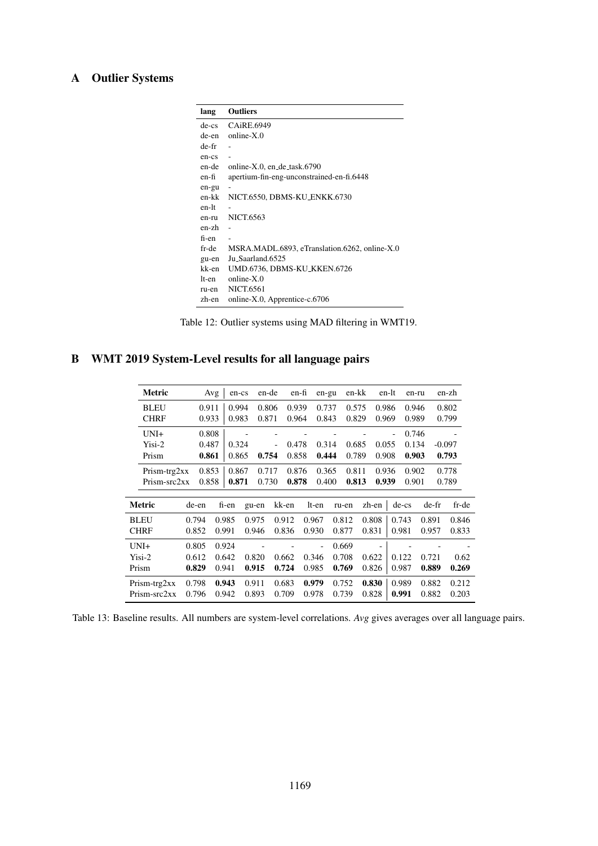## A Outlier Systems

| lang   | <b>Outliers</b>                               |
|--------|-----------------------------------------------|
| de-cs  | CAiRE.6949                                    |
| de-en- | $online-X.0$                                  |
| de-fr  |                                               |
| en-cs  |                                               |
| en-de  | online-X.0, en_de_task.6790                   |
| en-fi  | apertium-fin-eng-unconstrained-en-fi.6448     |
| en-gu  |                                               |
| en-kk  | NICT.6550, DBMS-KU_ENKK.6730                  |
| en-lt  |                                               |
| en-ru  | NICT.6563                                     |
| en-zh  |                                               |
| fi-en  | $\overline{\phantom{0}}$                      |
| fr-de  | MSRA.MADL.6893, eTranslation.6262, online-X.0 |
| gu-en  | Ju_Saarland.6525                              |
| kk-en  | UMD.6736, DBMS-KU_KKEN.6726                   |
| lt-en  | $online-X.0$                                  |
| ru-en  | <b>NICT.6561</b>                              |
| zh-en  | online-X.0, Apprentice-c.6706                 |

Table 12: Outlier systems using MAD filtering in WMT19.

## <span id="page-11-0"></span>B WMT 2019 System-Level results for all language pairs

| Metric       |       | Avg   | en-cs | en-de |       | en-fi | en-gu |       | en-kk | en-lt | en-ru   |       | en-zh    |
|--------------|-------|-------|-------|-------|-------|-------|-------|-------|-------|-------|---------|-------|----------|
| <b>BLEU</b>  |       | 0.911 | 0.994 | 0.806 |       | 0.939 | 0.737 |       | 0.575 | 0.986 | 0.946   |       | 0.802    |
| <b>CHRF</b>  |       | 0.933 | 0.983 | 0.871 |       | 0.964 | 0.843 |       | 0.829 | 0.969 | 0.989   |       | 0.799    |
| $UNI+$       |       | 0.808 |       |       |       |       |       |       |       |       | 0.746   |       |          |
| Yisi-2       |       | 0.487 | 0.324 |       |       | 0.478 | 0.314 |       | 0.685 | 0.055 | 0.134   |       | $-0.097$ |
| Prism        |       | 0.861 | 0.865 | 0.754 |       | 0.858 | 0.444 |       | 0.789 | 0.908 | 0.903   |       | 0.793    |
| Prism-trg2xx |       | 0.853 | 0.867 | 0.717 |       | 0.876 | 0.365 |       | 0.811 | 0.936 | 0.902   |       | 0.778    |
| Prism-src2xx |       | 0.858 | 0.871 | 0.730 |       | 0.878 | 0.400 |       | 0.813 | 0.939 | 0.901   |       | 0.789    |
|              |       |       |       |       |       |       |       |       |       |       |         |       |          |
| Metric       | de-en |       | fi-en | gu-en | kk-en |       | lt-en | ru-en | zh-en |       | $de-cs$ | de-fr | fr-de    |
| <b>BLEU</b>  | 0.794 |       | 0.985 | 0.975 | 0.912 |       | 0.967 | 0.812 | 0.808 |       | 0.743   | 0.891 | 0.846    |
| <b>CHRF</b>  | 0.852 |       | 0.991 | 0.946 | 0.836 |       | 0.930 | 0.877 | 0.831 |       | 0.981   | 0.957 | 0.833    |
| $UNI+$       | 0.805 |       | 0.924 |       |       |       | ä,    | 0.669 |       |       |         |       |          |
| $Yisi-2$     | 0.612 |       | 0.642 | 0.820 | 0.662 |       | 0.346 | 0.708 | 0.622 |       | 0.122   | 0.721 | 0.62     |
| Prism        | 0.829 |       | 0.941 | 0.915 | 0.724 |       | 0.985 | 0.769 | 0.826 |       | 0.987   | 0.889 | 0.269    |
| Prism-trg2xx | 0.798 |       | 0.943 | 0.911 | 0.683 |       | 0.979 | 0.752 | 0.830 |       | 0.989   | 0.882 | 0.212    |
| Prism-src2xx | 0.796 |       | 0.942 | 0.893 | 0.709 |       | 0.978 | 0.739 | 0.828 |       | 0.991   | 0.882 | 0.203    |

Table 13: Baseline results. All numbers are system-level correlations. *Avg* gives averages over all language pairs.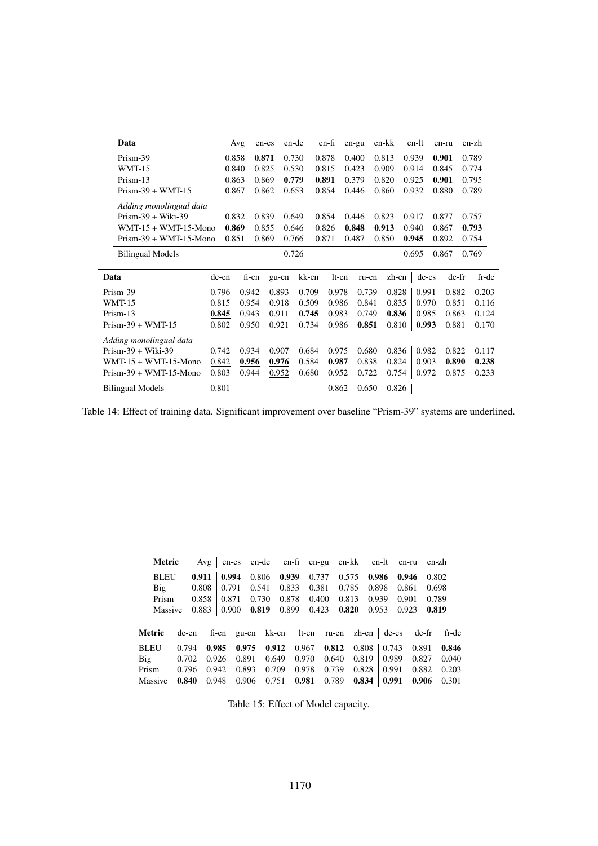| Data                     |       | Avg   | en-cs | en-de |       | en-fi | en-gu | en-kk | en-lt   | en-ru | en-zh          |
|--------------------------|-------|-------|-------|-------|-------|-------|-------|-------|---------|-------|----------------|
| Prism-39                 |       | 0.858 | 0.871 | 0.730 |       | 0.878 | 0.400 | 0.813 | 0.939   | 0.901 | 0.789          |
| <b>WMT-15</b>            |       | 0.840 | 0.825 | 0.530 |       | 0.815 | 0.423 | 0.909 | 0.914   | 0.845 | 0.774          |
| Prism-13                 | 0.863 |       | 0.869 | 0.779 |       | 0.891 | 0.379 | 0.820 | 0.925   | 0.901 | 0.795          |
| $Prism-39 + WMT-15$      | 0.867 |       | 0.862 | 0.653 |       | 0.854 | 0.446 | 0.860 | 0.932   | 0.880 | 0.789          |
| Adding monolingual data  |       |       |       |       |       |       |       |       |         |       |                |
| $Prism-39 + Wiki-39$     |       | 0.832 | 0.839 | 0.649 |       | 0.854 | 0.446 | 0.823 | 0.917   | 0.877 | 0.757          |
| $WMT-15 + WMT-15-Mono$   |       | 0.869 | 0.855 | 0.646 |       | 0.826 | 0.848 | 0.913 | 0.940   | 0.867 | 0.793          |
| $Prism-39 + WMT-15-Mono$ | 0.851 |       | 0.869 | 0.766 |       | 0.871 | 0.487 | 0.850 | 0.945   | 0.892 | 0.754          |
| <b>Bilingual Models</b>  |       |       |       | 0.726 |       |       |       |       | 0.695   | 0.867 | 0.769          |
| Data                     | de-en | fi-en |       | gu-en | kk-en | lt-en | ru-en | zh-en | $de-cs$ |       | de-fr<br>fr-de |
| Prism-39                 | 0.796 | 0.942 |       | 0.893 | 0.709 | 0.978 | 0.739 | 0.828 | 0.991   | 0.882 | 0.203          |
| <b>WMT-15</b>            | 0.815 | 0.954 |       | 0.918 | 0.509 | 0.986 | 0.841 | 0.835 | 0.970   | 0.851 | 0.116          |
| Prism-13                 | 0.845 | 0.943 |       | 0.911 | 0.745 | 0.983 | 0.749 | 0.836 | 0.985   | 0.863 | 0.124          |
| $Prism-39 + WMT-15$      | 0.802 | 0.950 |       | 0.921 | 0.734 | 0.986 | 0.851 | 0.810 | 0.993   | 0.881 | 0.170          |
| Adding monolingual data  |       |       |       |       |       |       |       |       |         |       |                |
| $Prism-39 + Wiki-39$     | 0.742 | 0.934 |       | 0.907 | 0.684 | 0.975 | 0.680 | 0.836 | 0.982   | 0.822 | 0.117          |
| $WMT-15 + WMT-15-Mono$   | 0.842 | 0.956 |       | 0.976 | 0.584 | 0.987 | 0.838 | 0.824 | 0.903   | 0.890 | 0.238          |
| $Prism-39 + WMT-15-Mono$ | 0.803 | 0.944 |       | 0.952 | 0.680 | 0.952 | 0.722 | 0.754 | 0.972   | 0.875 | 0.233          |
| <b>Bilingual Models</b>  | 0.801 |       |       |       |       | 0.862 | 0.650 | 0.826 |         |       |                |

Table 14: Effect of training data. Significant improvement over baseline "Prism-39" systems are underlined.

| <b>Metric</b> |       | Avg   | en-cs | en-de | en-fi | en-gu | en-kk          | en-lt | en-ru   | en-zh          |
|---------------|-------|-------|-------|-------|-------|-------|----------------|-------|---------|----------------|
| <b>BLEU</b>   |       | 0.911 | 0.994 | 0.806 | 0.939 | 0.737 | 0.575          | 0.986 | 0.946   | 0.802          |
| Big           |       | 0.808 | 0.791 | 0.541 | 0.833 | 0.381 | 0.785          | 0.898 | 0.861   | 0.698          |
| Prism         |       | 0.858 | 0.871 | 0.730 | 0.878 | 0.400 | 0.813          | 0.939 | 0.901   | 0.789          |
| Massive       |       | 0.883 | 0.900 | 0.819 | 0.899 | 0.423 | 0.820          | 0.953 | 0.923   | 0.819          |
| <b>Metric</b> | de-en |       | fi-en | gu-en | kk-en | lt-en | ru-en          | zh-en | $de-cs$ | de-fr<br>fr-de |
| <b>BLEU</b>   | 0.794 | 0.985 |       | 0.975 | 0.912 | 0.967 | 0.812<br>0.808 | 0.743 | 0.891   | 0.846          |
| Big           | 0.702 | 0.926 |       | 0.891 | 0.649 | 0.970 | 0.640<br>0.819 | 0.989 | 0.827   | 0.040          |
| Prism         | 0.796 | 0.942 |       | 0.893 | 0.709 | 0.978 | 0.739<br>0.828 | 0.991 | 0.882   | 0.203          |
| Massive       | 0.840 | 0.948 |       | 0.906 | 0.751 | 0.981 | 0.789<br>0.834 | 0.991 | 0.906   | 0.301          |

Table 15: Effect of Model capacity.